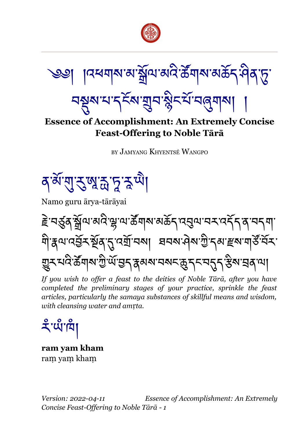

্ঞা ়।ব্ৰশ্মাৰাস্ট্ৰমি'মান্ত্ৰীয়ে'ক্ৰীম'মাৰ্ক্তিম্পিক্ষ

<u>ব</u>হ্মুম'থ'ব্<sup>হু</sup>ম'য়ুব'ষ্ট্ৰুবর্ম'ব্র্ন্সামা

## **Essence of Accomplishment: An Extremely Concise Feast-Offering to Noble Tārā**

BY JAMYANG KHYENTSÉ WANGPO

<u>ৰজ্যি বুল্লুস্কুদুই আ</u>

Namo guru ārya-tārāyai

<u>౾</u>ॱবর্ত্ত্রষ্ণুশ্রিম্প্রাম্রার্জ বর্ষ ব্রুষ ব্রুষ ব্রুষ বিরুষ। ণী ধ্রুণ বর্তু সম্পূর্ণ প্রম্মা বিদ্যা মুখা মুখা বিদ্যালয় বিদ্যা <u>ਗ਼</u>ৢ৲মবি<sup>.</sup>र्ढेगब'गुे'ॲ'བུད་རུམས་བསང་क़ॖॖ॒ॸ्ऽॸ་བདུད་རུས་བུན་ལ།

*If you wish to offer a feast to the deities of Noble Tārā, after you have completed the preliminary stages of your practice, sprinkle the feast articles, particularly the samaya substances of skillful means and wisdom,*  $with$  cleansing water and amrta.

ঽঁॱਘঁ'শি

**ram yam kham** ram yam kham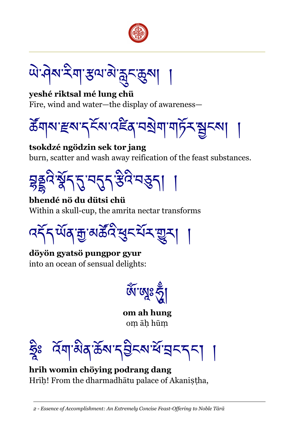

<u>ొం</u>టే మార్చెల్యాలు అందును అన్నట్

**yeshé riktsal mé lung chü** Fire, wind and water—the display of awareness—



**tsokdzé ngödzin sek tor jang** burn, scatter and wash away reification of the feast substances.



**bhendé nö du dütsi chü** Within a skull-cup, the amrita nectar transforms



**döyön gyatsö pungpor gyur** into an ocean of sensual delights:

জ্যে জুৱি

**om ah hung** om āh hūm

ৰ্বমান্ত্ৰীপ্ৰজ্ঞাই ব্ৰিক্ষাৰ্থ বিদ্যালয়ৰ দি

**hrih womin chöying podrang dang** Hrīh! From the dharmadhātu palace of Akanistha,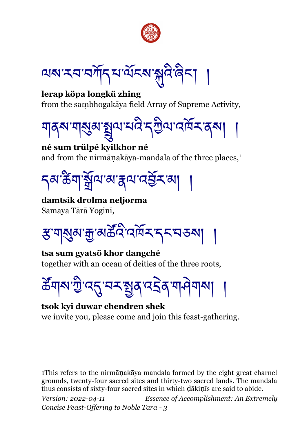

অম'মম'মাঁদ্ম'মঁহম'মুদ্দিজৈন্

**lerap köpa longkü zhing** from the sambhogakāya field Array of Supreme Activity,



**né sum trülpé kyilkhor né** and from the nirmāņakāya-mandala of the three places,<sup>[1](#page-2-0)</sup>

<u></u> รุส ซึ้ม ซิญาล์ รุน เจริ้ม ม

**damtsik drolma neljorma** Samaya Tārā Yoginī,

ਲ਼<sup>੶</sup>ਸ਼|ੴ¤ाङ्क अङ्केष्ट ।

**tsa sum gyatsö khor dangché** together with an ocean of deities of the three roots,

<u>ౙ</u>ॕॕॺऻ৵ॱঌॖऀॱॳॾॱॾॾॾॾॾॾॾॾख़ॷॎॷऻॷॴॴ

**tsok kyi duwar chendren shek** we invite you, please come and join this feast-gathering.

<span id="page-2-0"></span>1This refers to the nirmānakāya mandala formed by the eight great charnel grounds, twenty-four sacred sites and thirty-two sacred lands. The mandala thus consists of sixty-four sacred sites in which dakinis are said to abide.

*Version: 2022-04-11 Essence of Accomplishment: An Extremely Concise Feast-Offering to Noble Tārā - 3*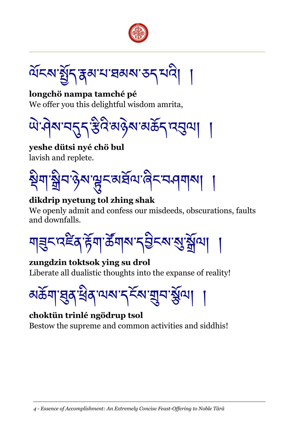



**longchö nampa tamché pé** We offer you this delightful wisdom amrita,

ཡེ་ཤེས་བདུད་རྩིའི་མཉེས་མཆོད་འབུལ། །

**yeshe dütsi nyé chö bul** lavish and replete.



## **dikdrip nyetung tol zhing shak**

We openly admit and confess our misdeeds, obscurations, faults and downfalls.

য়ঽৼ৸ৼয়৸ঢ়৾ড়৸ৼ৸ৼ৸ৼ৸ৼ৸

**zungdzin toktsok ying su drol** Liberate all dualistic thoughts into the expanse of reality!



## **choktün trinlé ngödrup tsol** Bestow the supreme and common activities and siddhis!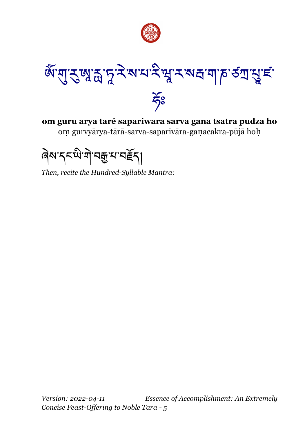



**om guru arya taré sapariwara sarva gana tsatra pudza ho** om gurvyārya-tārā-sarva-saparivāra-ganacakra-pūjā hoh

ৰিম'নম্মী'নক্ৰু'ম'নৰ্ইন্|

*Then, recite the Hundred-Syllable Mantra:*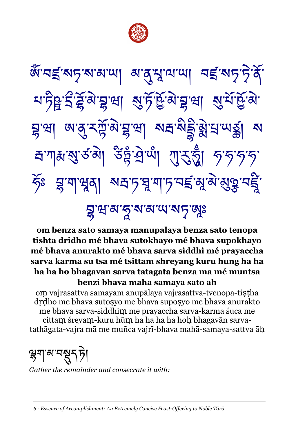

জঁ་নহ্রাম্ফারাম্মা মার্শ্রুম্মান্মা নহ্রাম্ফার্টুর <u>য়ঢ়৳ৼৢৼড়৻য়৸</u><br>য়য়ড়য়য়য়য়য়য়য়য়য়য়য়য়য় য়ৢড়ঀৗৢৢৢড়ড়য়ৣ৸ড়ৼঢ়ড়ড়৸ড়ৼঢ়ড়ড়৸ড়৸ঢ়৸ড়৸ হ্যশাস্তম্বর্জ্ঞা উন্নুদ্রী শ্রাইস্ট্রা গৃত্যগৃত্ ৰ্ঠঃ হ্ৰ'শাপ্মুৰা ম্বাচ'য়ু'শাচ'নৰ্ছ'মুম্ম'মুত্নু'নৰ্ছ্ৰ' য়ৢৼঀড়৻৸ৼ৻৸৸ৼ৻৸ৼ৻৸

**om benza sato samaya manupalaya benza sato tenopa tishta dridho mé bhava sutokhayo mé bhava supokhayo mé bhava anurakto mé bhava sarva siddhi mé prayaccha sarva karma su tsa mé tsittam shreyang kuru hung ha ha ha ha ho bhagavan sarva tatagata benza ma mé muntsa benzi bhava maha samaya sato ah**

om vajrasattva samayam anupālaya vajrasattva-tvenopa-tistha drdho me bhava suto yo me bhava supo svo me bhava anurakto me bhava sarva-siddhim me prayaccha sarva-karma śuca me cittam śreyam-kuru hūm ha ha ha ha hoh bhagavān sarvatathāgata-vajra mā me muñca vajrī-bhava mahā-samaya-sattva āḥ

ঙ্গুম্ম'ম্সুধ্রুণ্ট

*Gather the remainder and consecrate it with:*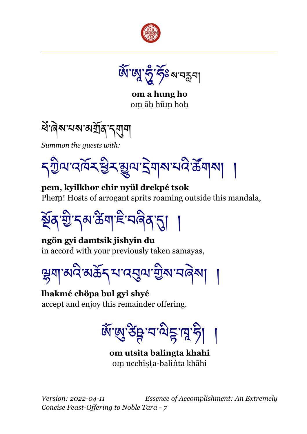

ଊୖ<mark>ଁ</mark>୕ଔ୕ଔୢ୰ଽ୵ୖୖ୕ୄଽଽଽ

**om a hung ho** om āh hūm hoh

<u>শ্ব</u>ংৰিম'থম'মশ্ৰ্মি ব্ৰম্মু

*Summon the guests with:*

དཀྱིལ་འཁོར་ཕྱིར་མྱུལ་དྲེགས་པའི་ཚཚོགས། །

**pem, kyilkhor chir nyül drekpé tsok** Phem! Hosts of arrogant sprits roaming outside this mandala,

ষ্ঠুৰ'খ্ৰী'নৰু'উন্মাই'নৰিৰ'না

**ngön gyi damtsik jishyin du** in accord with your previously taken samayas,

ལྷག་མའི་མཆོད་པ་འབུལ་གྱིས་བཞེས། །

**lhakmé chöpa bul gyi shyé** accept and enjoy this remainder offering.

জঁ<sup>.</sup>জ্ঞাপ্তিষ্ট নাত্ৰাই

**om utsita balingta khahi** om ucchista-balinta khāhi

*Version: 2022-04-11 Essence of Accomplishment: An Extremely Concise Feast-Offering to Noble Tārā - 7*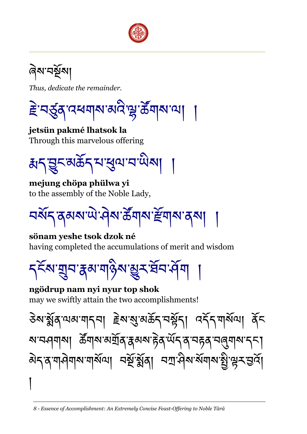

ৰি<u>ম'</u>নৰ্মূমা

*Thus, dedicate the remainder.*

<u>≩</u>ॱনৰ্ড্ৰব্ৰস্বৰশৰাৰ ৰাইণ্ড্ৰ'ৰ্ক্তব্ৰাৰ্মকা

**jetsün pakmé lhatsok la** Through this marvelous offering

ক্কব্রুহুমউব্মস্থ্রেশ্মামা

**mejung chöpa phülwa yi** to the assembly of the Noble Lady,

<u>ঘৰ্ষ</u>্দ স্কৰ্ম আইন উন্নাৰ স্কুল বিৰা

**sönam yeshe tsok dzok né** having completed the accumulations of merit and wisdom

<u></u> ব্<sup>হঁ</sup>ম'য়ুন'ৰ্ক্স'য়াওঁম'্মুন'ৰ্ষন'ৰ্ম্ম

## **ngödrup nam nyi nyur top shok**

may we swiftly attain the two accomplishments!

ཅེས་སཚོན་ལམ་གདབ། རྗེས་སུ་མཆོད་བསཚོད། འདཚོད་གསཚོལ། ནཚོང ষ'ন্দ্ৰ্নাৰ্ম| ক্ৰীঁনাৰ্ম'ৰাৰ্মিক্কৰ্ম'ইৰ্'ৰ্ਘঁন্'ৰ্'ন্হৰ্'ন্ন্ন্নাৰ্ম'ন্ন| <u>য়৾ঀৼ৸ড়৸ড়৸ৼ৸ড়৸ঢ়৸ঢ়৸ড়৸ঢ়৸</u> །